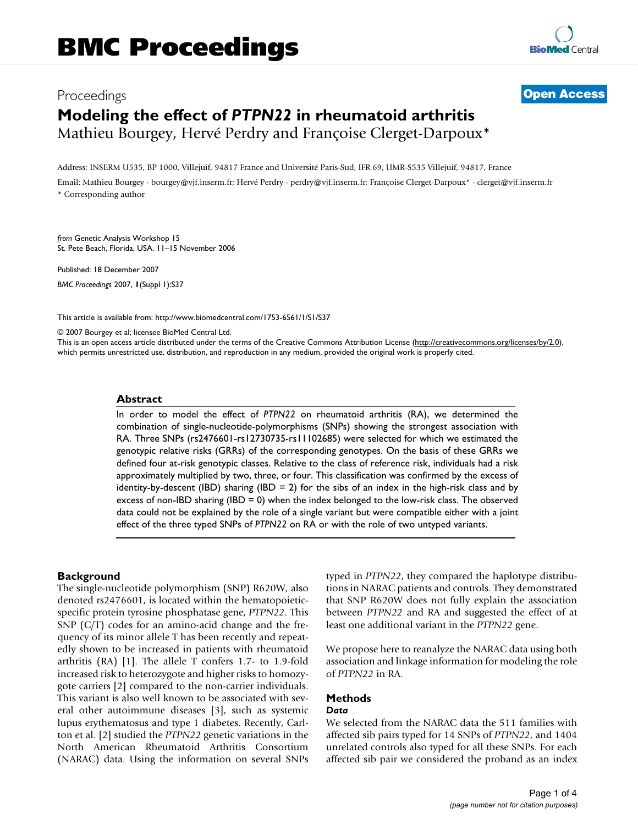# Proceedings **[Open Access](http://www.biomedcentral.com/info/about/charter/) Modeling the effect of** *PTPN22* **in rheumatoid arthritis** Mathieu Bourgey, Hervé Perdry and Françoise Clerget-Darpoux\*

Address: INSERM U535, BP 1000, Villejuif, 94817 France and Université Paris-Sud, IFR 69, UMR-S535 Villejuif, 94817, France

Email: Mathieu Bourgey - bourgey@vjf.inserm.fr; Hervé Perdry - perdry@vjf.inserm.fr; Françoise Clerget-Darpoux\* - clerget@vjf.inserm.fr \* Corresponding author

*from* Genetic Analysis Workshop 15 St. Pete Beach, Florida, USA. 11–15 November 2006

Published: 18 December 2007 *BMC Proceedings* 2007, **1**(Suppl 1):S37

[This article is available from: http://www.biomedcentral.com/1753-6561/1/S1/S37](http://www.biomedcentral.com/1753-6561/1/S1/S37)

© 2007 Bourgey et al; licensee BioMed Central Ltd.

This is an open access article distributed under the terms of the Creative Commons Attribution License [\(http://creativecommons.org/licenses/by/2.0\)](http://creativecommons.org/licenses/by/2.0), which permits unrestricted use, distribution, and reproduction in any medium, provided the original work is properly cited.

#### **Abstract**

In order to model the effect of *PTPN22* on rheumatoid arthritis (RA), we determined the combination of single-nucleotide-polymorphisms (SNPs) showing the strongest association with RA. Three SNPs (rs2476601-rs12730735-rs11102685) were selected for which we estimated the genotypic relative risks (GRRs) of the corresponding genotypes. On the basis of these GRRs we defined four at-risk genotypic classes. Relative to the class of reference risk, individuals had a risk approximately multiplied by two, three, or four. This classification was confirmed by the excess of identity-by-descent (IBD) sharing (IBD = 2) for the sibs of an index in the high-risk class and by excess of non-IBD sharing (IBD = 0) when the index belonged to the low-risk class. The observed data could not be explained by the role of a single variant but were compatible either with a joint effect of the three typed SNPs of *PTPN22* on RA or with the role of two untyped variants.

#### **Background**

The single-nucleotide polymorphism (SNP) R620W, also denoted rs2476601, is located within the hematopoieticspecific protein tyrosine phosphatase gene, *PTPN22*. This SNP (C/T) codes for an amino-acid change and the frequency of its minor allele T has been recently and repeatedly shown to be increased in patients with rheumatoid arthritis (RA) [[1](#page-3-0)]. The allele T confers 1.7- to 1.9-fold increased risk to heterozygote and higher risks to homozygote carriers [\[2\]](#page-3-1) compared to the non-carrier individuals. This variant is also well known to be associated with several other autoimmune diseases [[3](#page-3-2)], such as systemic lupus erythematosus and type 1 diabetes. Recently, Carlton et al. [\[2](#page-3-1)] studied the *PTPN22* genetic variations in the North American Rheumatoid Arthritis Consortium (NARAC) data. Using the information on several SNPs typed in *PTPN22*, they compared the haplotype distributions in NARAC patients and controls. They demonstrated that SNP R620W does not fully explain the association between *PTPN22* and RA and suggested the effect of at least one additional variant in the *PTPN22* gene.

We propose here to reanalyze the NARAC data using both association and linkage information for modeling the role of *PTPN22* in RA.

# **Methods**

#### *Data*

We selected from the NARAC data the 511 families with affected sib pairs typed for 14 SNPs of *PTPN22*, and 1404 unrelated controls also typed for all these SNPs. For each affected sib pair we considered the proband as an index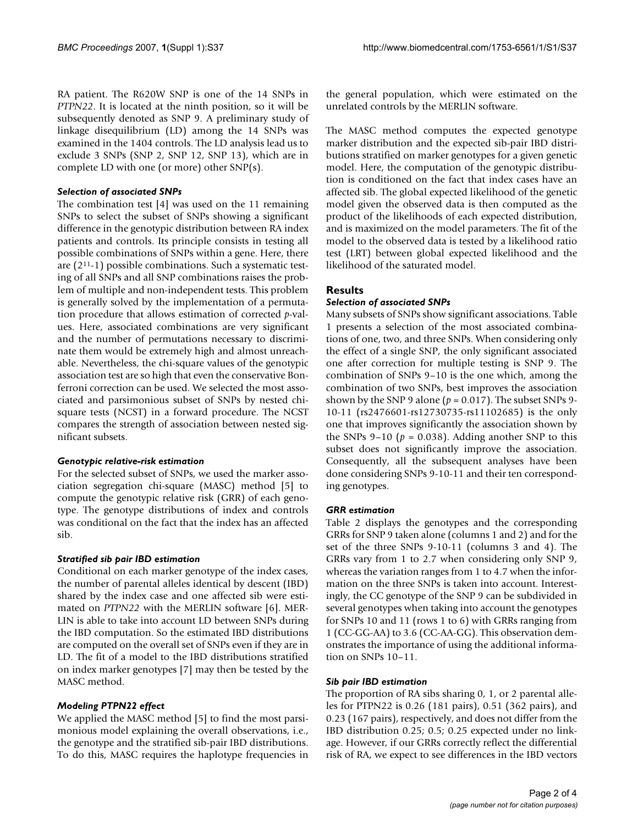RA patient. The R620W SNP is one of the 14 SNPs in *PTPN22*. It is located at the ninth position, so it will be subsequently denoted as SNP 9. A preliminary study of linkage disequilibrium (LD) among the 14 SNPs was examined in the 1404 controls. The LD analysis lead us to exclude 3 SNPs (SNP 2, SNP 12, SNP 13), which are in complete LD with one (or more) other SNP(s).

## *Selection of associated SNPs*

The combination test [4] was used on the 11 remaining SNPs to select the subset of SNPs showing a significant difference in the genotypic distribution between RA index patients and controls. Its principle consists in testing all possible combinations of SNPs within a gene. Here, there are (211-1) possible combinations. Such a systematic testing of all SNPs and all SNP combinations raises the problem of multiple and non-independent tests. This problem is generally solved by the implementation of a permutation procedure that allows estimation of corrected *p*-values. Here, associated combinations are very significant and the number of permutations necessary to discriminate them would be extremely high and almost unreachable. Nevertheless, the chi-square values of the genotypic association test are so high that even the conservative Bonferroni correction can be used. We selected the most associated and parsimonious subset of SNPs by nested chisquare tests (NCST) in a forward procedure. The NCST compares the strength of association between nested significant subsets.

## *Genotypic relative-risk estimation*

For the selected subset of SNPs, we used the marker association segregation chi-square (MASC) method [5] to compute the genotypic relative risk (GRR) of each genotype. The genotype distributions of index and controls was conditional on the fact that the index has an affected sib.

## *Stratified sib pair IBD estimation*

Conditional on each marker genotype of the index cases, the number of parental alleles identical by descent (IBD) shared by the index case and one affected sib were estimated on *PTPN22* with the MERLIN software [6]. MER-LIN is able to take into account LD between SNPs during the IBD computation. So the estimated IBD distributions are computed on the overall set of SNPs even if they are in LD. The fit of a model to the IBD distributions stratified on index marker genotypes [7] may then be tested by the MASC method.

## *Modeling PTPN22 effect*

We applied the MASC method [5] to find the most parsimonious model explaining the overall observations, i.e., the genotype and the stratified sib-pair IBD distributions. To do this, MASC requires the haplotype frequencies in

the general population, which were estimated on the unrelated controls by the MERLIN software.

The MASC method computes the expected genotype marker distribution and the expected sib-pair IBD distributions stratified on marker genotypes for a given genetic model. Here, the computation of the genotypic distribution is conditioned on the fact that index cases have an affected sib. The global expected likelihood of the genetic model given the observed data is then computed as the product of the likelihoods of each expected distribution, and is maximized on the model parameters. The fit of the model to the observed data is tested by a likelihood ratio test (LRT) between global expected likelihood and the likelihood of the saturated model.

## **Results**

## *Selection of associated SNPs*

Many subsets of SNPs show significant associations. Table 1 presents a selection of the most associated combinations of one, two, and three SNPs. When considering only the effect of a single SNP, the only significant associated one after correction for multiple testing is SNP 9. The combination of SNPs 9–10 is the one which, among the combination of two SNPs, best improves the association shown by the SNP 9 alone ( $p = 0.017$ ). The subset SNPs 9-10-11 (rs2476601-rs12730735-rs11102685) is the only one that improves significantly the association shown by the SNPs  $9-10$  ( $p = 0.038$ ). Adding another SNP to this subset does not significantly improve the association. Consequently, all the subsequent analyses have been done considering SNPs 9-10-11 and their ten corresponding genotypes.

#### *GRR estimation*

Table 2 displays the genotypes and the corresponding GRRs for SNP 9 taken alone (columns 1 and 2) and for the set of the three SNPs 9-10-11 (columns 3 and 4). The GRRs vary from 1 to 2.7 when considering only SNP 9, whereas the variation ranges from 1 to 4.7 when the information on the three SNPs is taken into account. Interestingly, the CC genotype of the SNP 9 can be subdivided in several genotypes when taking into account the genotypes for SNPs 10 and 11 (rows 1 to 6) with GRRs ranging from 1 (CC-GG-AA) to 3.6 (CC-AA-GG). This observation demonstrates the importance of using the additional information on SNPs 10–11.

## *Sib pair IBD estimation*

The proportion of RA sibs sharing 0, 1, or 2 parental alleles for PTPN22 is 0.26 (181 pairs), 0.51 (362 pairs), and 0.23 (167 pairs), respectively, and does not differ from the IBD distribution 0.25; 0.5; 0.25 expected under no linkage. However, if our GRRs correctly reflect the differential risk of RA, we expect to see differences in the IBD vectors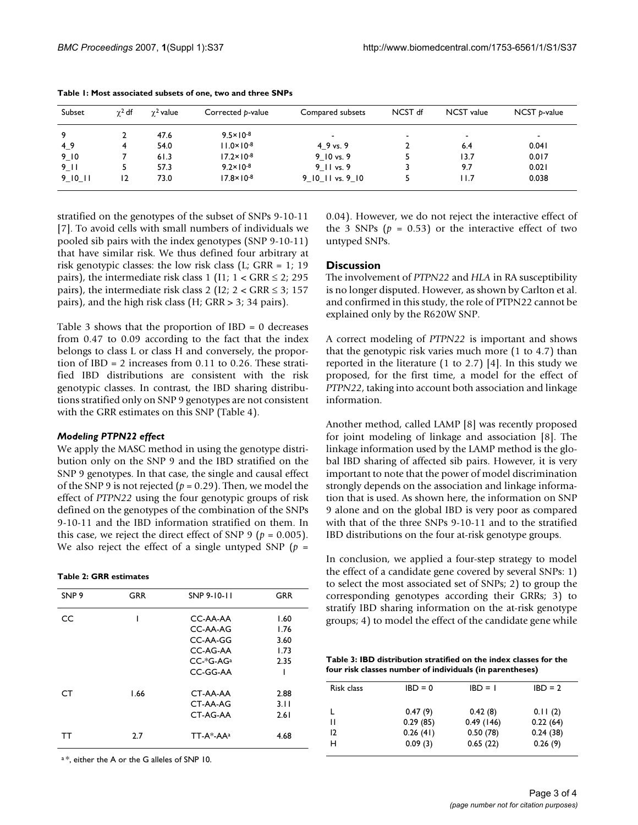| Subset             | $\chi^2$ df | $\gamma^2$ value | Corrected p-value     | Compared subsets | NCST df        | <b>NCST</b> value | NCST p-value |
|--------------------|-------------|------------------|-----------------------|------------------|----------------|-------------------|--------------|
| 9                  |             | 47.6             | $9.5 \times 10^{-8}$  | -                | $\blacksquare$ | ۰.                | $\sim$       |
| 49                 | 4           | 54.0             | $11.0 \times 10^{-8}$ | 49 vs. 9         |                | 6.4               | 0.041        |
| $9 - 10$           |             | 61.3             | $17.2 \times 10^{-8}$ | 9 10 vs. 9       |                | 13.7              | 0.017        |
| $9$ <sup>-11</sup> |             | 57.3             | $9.2 \times 10^{-8}$  | 9 11 vs. 9       |                | 9.7               | 0.021        |
| 9 10 11            | 12          | 73.0             | $17.8 \times 10^{-8}$ | 9 10 11 vs. 9 10 |                | 1.7               | 0.038        |

**Table 1: Most associated subsets of one, two and three SNPs**

stratified on the genotypes of the subset of SNPs 9-10-11 [7]. To avoid cells with small numbers of individuals we pooled sib pairs with the index genotypes (SNP 9-10-11) that have similar risk. We thus defined four arbitrary at risk genotypic classes: the low risk class (L; GRR = 1; 19 pairs), the intermediate risk class 1 (I1;  $1 < GRR \le 2$ ; 295 pairs), the intermediate risk class 2 (I2;  $2 < GRR \leq 3$ ; 157 pairs), and the high risk class (H; GRR > 3; 34 pairs).

Table 3 shows that the proportion of IBD = 0 decreases from 0.47 to 0.09 according to the fact that the index belongs to class L or class H and conversely, the proportion of IBD = 2 increases from 0.11 to 0.26. These stratified IBD distributions are consistent with the risk genotypic classes. In contrast, the IBD sharing distributions stratified only on SNP 9 genotypes are not consistent with the GRR estimates on this SNP (Table 4).

#### *Modeling PTPN22 effect*

We apply the MASC method in using the genotype distribution only on the SNP 9 and the IBD stratified on the SNP 9 genotypes. In that case, the single and causal effect of the SNP 9 is not rejected (*p* = 0.29). Then, we model the effect of *PTPN22* using the four genotypic groups of risk defined on the genotypes of the combination of the SNPs 9-10-11 and the IBD information stratified on them. In this case, we reject the direct effect of SNP 9 ( $p = 0.005$ ). We also reject the effect of a single untyped SNP (*p* =

|  |  |  |  | Table 2: GRR estimates |
|--|--|--|--|------------------------|
|--|--|--|--|------------------------|

| SNP <sub>9</sub> | <b>GRR</b>  | SNP 9-10-11  | <b>GRR</b> |
|------------------|-------------|--------------|------------|
| CC               | ı           | CC-AA-AA     | 1.60       |
|                  |             | CC-AA-AG     | 1.76       |
|                  |             | CC-AA-GG     | 3.60       |
|                  |             | CC-AG-AA     | 1.73       |
|                  |             | $CC*G-AGa$   | 2.35       |
|                  |             | CC-GG-AA     | ı          |
| CT               | <b>1.66</b> | CT-AA-AA     | 2.88       |
|                  |             | CT-AA-AG     | 3.11       |
|                  |             | CT-AG-AA     | 2.61       |
| тт               | 2.7         | $TT-A^*AA^*$ | 4.68       |

a<sup>\*</sup>, either the A or the G alleles of SNP 10.

0.04). However, we do not reject the interactive effect of the 3 SNPs  $(p = 0.53)$  or the interactive effect of two untyped SNPs.

#### **Discussion**

The involvement of *PTPN22* and *HLA* in RA susceptibility is no longer disputed. However, as shown by Carlton et al. and confirmed in this study, the role of PTPN22 cannot be explained only by the R620W SNP.

A correct modeling of *PTPN22* is important and shows that the genotypic risk varies much more (1 to 4.7) than reported in the literature (1 to 2.7) [4]. In this study we proposed, for the first time, a model for the effect of *PTPN22*, taking into account both association and linkage information.

Another method, called LAMP [8] was recently proposed for joint modeling of linkage and association [8]. The linkage information used by the LAMP method is the global IBD sharing of affected sib pairs. However, it is very important to note that the power of model discrimination strongly depends on the association and linkage information that is used. As shown here, the information on SNP 9 alone and on the global IBD is very poor as compared with that of the three SNPs 9-10-11 and to the stratified IBD distributions on the four at-risk genotype groups.

In conclusion, we applied a four-step strategy to model the effect of a candidate gene covered by several SNPs: 1) to select the most associated set of SNPs; 2) to group the corresponding genotypes according their GRRs; 3) to stratify IBD sharing information on the at-risk genotype groups; 4) to model the effect of the candidate gene while

**Table 3: IBD distribution stratified on the index classes for the four risk classes number of individuals (in parentheses)**

| Risk class | $IBD = 0$ | $IBD = I$ | $IBD = 2$ |
|------------|-----------|-----------|-----------|
|            | 0.47(9)   | 0.42(8)   | 0.11(2)   |
| Ш          | 0.29(85)  | 0.49(146) | 0.22(64)  |
| 12         | 0.26(41)  | 0.50(78)  | 0.24(38)  |
| н          | 0.09(3)   | 0.65(22)  | 0.26(9)   |